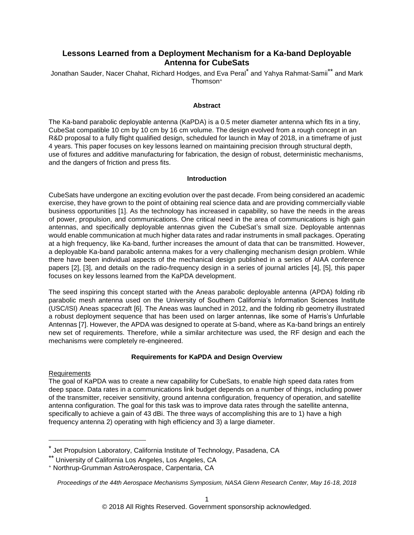# **Lessons Learned from a Deployment Mechanism for a Ka-band Deployable Antenna for CubeSats**

Jonathan Sauder, Nacer Chahat, Richard Hodges, and Eva Peral\* and Yahya Rahmat-Samii\*\* and Mark Thomson +

#### **Abstract**

The Ka-band parabolic deployable antenna (KaPDA) is a 0.5 meter diameter antenna which fits in a tiny, CubeSat compatible 10 cm by 10 cm by 16 cm volume. The design evolved from a rough concept in an R&D proposal to a fully flight qualified design, scheduled for launch in May of 2018, in a timeframe of just 4 years. This paper focuses on key lessons learned on maintaining precision through structural depth, use of fixtures and additive manufacturing for fabrication, the design of robust, deterministic mechanisms, and the dangers of friction and press fits.

#### **Introduction**

CubeSats have undergone an exciting evolution over the past decade. From being considered an academic exercise, they have grown to the point of obtaining real science data and are providing commercially viable business opportunities [1]. As the technology has increased in capability, so have the needs in the areas of power, propulsion, and communications. One critical need in the area of communications is high gain antennas, and specifically deployable antennas given the CubeSat's small size. Deployable antennas would enable communication at much higher data rates and radar instruments in small packages. Operating at a high frequency, like Ka-band, further increases the amount of data that can be transmitted. However, a deployable Ka-band parabolic antenna makes for a very challenging mechanism design problem. While there have been individual aspects of the mechanical design published in a series of AIAA conference papers [2], [3], and details on the radio-frequency design in a series of journal articles [4], [5], this paper focuses on key lessons learned from the KaPDA development.

The seed inspiring this concept started with the Aneas parabolic deployable antenna (APDA) folding rib parabolic mesh antenna used on the University of Southern California's Information Sciences Institute (USC/ISI) Aneas spacecraft [6]. The Aneas was launched in 2012, and the folding rib geometry illustrated a robust deployment sequence that has been used on larger antennas, like some of Harris's Unfurlable Antennas [7]. However, the APDA was designed to operate at S-band, where as Ka-band brings an entirely new set of requirements. Therefore, while a similar architecture was used, the RF design and each the mechanisms were completely re-engineered.

### **Requirements for KaPDA and Design Overview**

### Requirements

 $\overline{a}$ 

The goal of KaPDA was to create a new capability for CubeSats, to enable high speed data rates from deep space. Data rates in a communications link budget depends on a number of things, including power of the transmitter, receiver sensitivity, ground antenna configuration, frequency of operation, and satellite antenna configuration. The goal for this task was to improve data rates through the satellite antenna, specifically to achieve a gain of 43 dBi. The three ways of accomplishing this are to 1) have a high frequency antenna 2) operating with high efficiency and 3) a large diameter.

Jet Propulsion Laboratory, California Institute of Technology, Pasadena, CA

<sup>\*\*</sup> University of California Los Angeles, Los Angeles, CA

<sup>+</sup> Northrup-Grumman AstroAerospace, Carpentaria, CA

*Proceedings of the 44th Aerospace Mechanisms Symposium, NASA Glenn Research Center, May 16-18, 2018*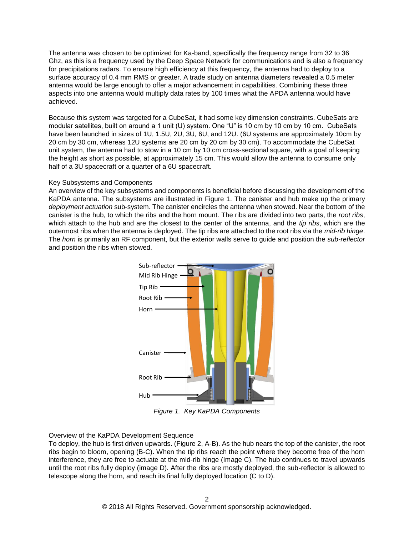The antenna was chosen to be optimized for Ka-band, specifically the frequency range from 32 to 36 Ghz, as this is a frequency used by the Deep Space Network for communications and is also a frequency for precipitations radars. To ensure high efficiency at this frequency, the antenna had to deploy to a surface accuracy of 0.4 mm RMS or greater. A trade study on antenna diameters revealed a 0.5 meter antenna would be large enough to offer a major advancement in capabilities. Combining these three aspects into one antenna would multiply data rates by 100 times what the APDA antenna would have achieved.

Because this system was targeted for a CubeSat, it had some key dimension constraints. CubeSats are modular satellites, built on around a 1 unit (U) system. One "U" is 10 cm by 10 cm by 10 cm. CubeSats have been launched in sizes of 1U, 1.5U, 2U, 3U, 6U, and 12U. (6U systems are approximately 10cm by 20 cm by 30 cm, whereas 12U systems are 20 cm by 20 cm by 30 cm). To accommodate the CubeSat unit system, the antenna had to stow in a 10 cm by 10 cm cross-sectional square, with a goal of keeping the height as short as possible, at approximately 15 cm. This would allow the antenna to consume only half of a 3U spacecraft or a quarter of a 6U spacecraft.

### Key Subsystems and Components

An overview of the key subsystems and components is beneficial before discussing the development of the KaPDA antenna. The subsystems are illustrated in Figure 1. The canister and hub make up the primary *deployment actuation* sub-system. The canister encircles the antenna when stowed. Near the bottom of the canister is the hub, to which the ribs and the horn mount. The ribs are divided into two parts, the *root ribs*, which attach to the hub and are the closest to the center of the antenna, and the *tip ribs*, which are the outermost ribs when the antenna is deployed. The tip ribs are attached to the root ribs via the *mid-rib hinge*. The *horn* is primarily an RF component, but the exterior walls serve to guide and position the *sub-reflector* and position the ribs when stowed.



*Figure 1. Key KaPDA Components*

# Overview of the KaPDA Development Sequence

To deploy, the hub is first driven upwards. (Figure 2, A-B). As the hub nears the top of the canister, the root ribs begin to bloom, opening (B-C). When the tip ribs reach the point where they become free of the horn interference, they are free to actuate at the mid-rib hinge (Image C). The hub continues to travel upwards until the root ribs fully deploy (image D). After the ribs are mostly deployed, the sub-reflector is allowed to telescope along the horn, and reach its final fully deployed location (C to D).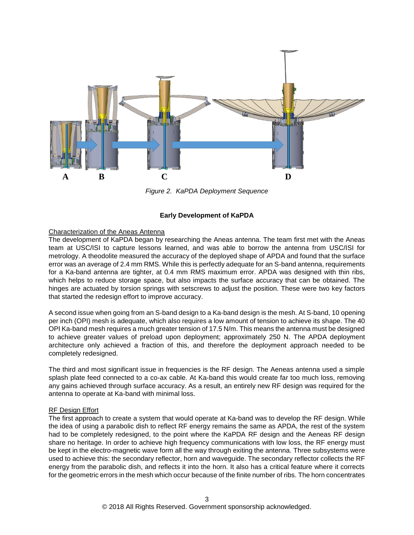

*Figure 2. KaPDA Deployment Sequence*

### **Early Development of KaPDA**

### Characterization of the Aneas Antenna

The development of KaPDA began by researching the Aneas antenna. The team first met with the Aneas team at USC/ISI to capture lessons learned, and was able to borrow the antenna from USC/ISI for metrology. A theodolite measured the accuracy of the deployed shape of APDA and found that the surface error was an average of 2.4 mm RMS. While this is perfectly adequate for an S-band antenna, requirements for a Ka-band antenna are tighter, at 0.4 mm RMS maximum error. APDA was designed with thin ribs, which helps to reduce storage space, but also impacts the surface accuracy that can be obtained. The hinges are actuated by torsion springs with setscrews to adjust the position. These were two key factors that started the redesign effort to improve accuracy.

A second issue when going from an S-band design to a Ka-band design is the mesh. At S-band, 10 opening per inch (OPI) mesh is adequate, which also requires a low amount of tension to achieve its shape. The 40 OPI Ka-band mesh requires a much greater tension of 17.5 N/m. This means the antenna must be designed to achieve greater values of preload upon deployment; approximately 250 N. The APDA deployment architecture only achieved a fraction of this, and therefore the deployment approach needed to be completely redesigned.

The third and most significant issue in frequencies is the RF design. The Aeneas antenna used a simple splash plate feed connected to a co-ax cable. At Ka-band this would create far too much loss, removing any gains achieved through surface accuracy. As a result, an entirely new RF design was required for the antenna to operate at Ka-band with minimal loss.

### RF Design Effort

The first approach to create a system that would operate at Ka-band was to develop the RF design. While the idea of using a parabolic dish to reflect RF energy remains the same as APDA, the rest of the system had to be completely redesigned, to the point where the KaPDA RF design and the Aeneas RF design share no heritage. In order to achieve high frequency communications with low loss, the RF energy must be kept in the electro-magnetic wave form all the way through exiting the antenna. Three subsystems were used to achieve this: the secondary reflector, horn and waveguide. The secondary reflector collects the RF energy from the parabolic dish, and reflects it into the horn. It also has a critical feature where it corrects for the geometric errors in the mesh which occur because of the finite number of ribs. The horn concentrates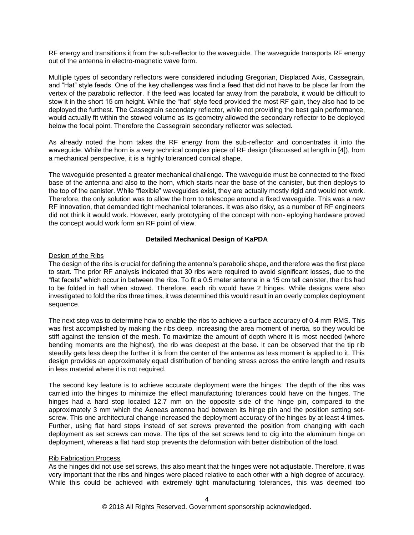RF energy and transitions it from the sub-reflector to the waveguide. The waveguide transports RF energy out of the antenna in electro-magnetic wave form.

Multiple types of secondary reflectors were considered including Gregorian, Displaced Axis, Cassegrain, and "Hat" style feeds. One of the key challenges was find a feed that did not have to be place far from the vertex of the parabolic reflector. If the feed was located far away from the parabola, it would be difficult to stow it in the short 15 cm height. While the "hat" style feed provided the most RF gain, they also had to be deployed the furthest. The Cassegrain secondary reflector, while not providing the best gain performance, would actually fit within the stowed volume as its geometry allowed the secondary reflector to be deployed below the focal point. Therefore the Cassegrain secondary reflector was selected.

As already noted the horn takes the RF energy from the sub-reflector and concentrates it into the waveguide. While the horn is a very technical complex piece of RF design (discussed at length in [4]), from a mechanical perspective, it is a highly toleranced conical shape.

The waveguide presented a greater mechanical challenge. The waveguide must be connected to the fixed base of the antenna and also to the horn, which starts near the base of the canister, but then deploys to the top of the canister. While "flexible" waveguides exist, they are actually mostly rigid and would not work. Therefore, the only solution was to allow the horn to telescope around a fixed waveguide. This was a new RF innovation, that demanded tight mechanical tolerances. It was also risky, as a number of RF engineers did not think it would work. However, early prototyping of the concept with non- eploying hardware proved the concept would work form an RF point of view.

### **Detailed Mechanical Design of KaPDA**

### Design of the Ribs

The design of the ribs is crucial for defining the antenna's parabolic shape, and therefore was the first place to start. The prior RF analysis indicated that 30 ribs were required to avoid significant losses, due to the "flat facets" which occur in between the ribs. To fit a 0.5 meter antenna in a 15 cm tall canister, the ribs had to be folded in half when stowed. Therefore, each rib would have 2 hinges. While designs were also investigated to fold the ribs three times, it was determined this would result in an overly complex deployment sequence.

The next step was to determine how to enable the ribs to achieve a surface accuracy of 0.4 mm RMS. This was first accomplished by making the ribs deep, increasing the area moment of inertia, so they would be stiff against the tension of the mesh. To maximize the amount of depth where it is most needed (where bending moments are the highest), the rib was deepest at the base. It can be observed that the tip rib steadily gets less deep the further it is from the center of the antenna as less moment is applied to it. This design provides an approximately equal distribution of bending stress across the entire length and results in less material where it is not required.

The second key feature is to achieve accurate deployment were the hinges. The depth of the ribs was carried into the hinges to minimize the effect manufacturing tolerances could have on the hinges. The hinges had a hard stop located 12.7 mm on the opposite side of the hinge pin, compared to the approximately 3 mm which the Aeneas antenna had between its hinge pin and the position setting setscrew. This one architectural change increased the deployment accuracy of the hinges by at least 4 times. Further, using flat hard stops instead of set screws prevented the position from changing with each deployment as set screws can move. The tips of the set screws tend to dig into the aluminum hinge on deployment, whereas a flat hard stop prevents the deformation with better distribution of the load.

### Rib Fabrication Process

As the hinges did not use set screws, this also meant that the hinges were not adjustable. Therefore, it was very important that the ribs and hinges were placed relative to each other with a high degree of accuracy. While this could be achieved with extremely tight manufacturing tolerances, this was deemed too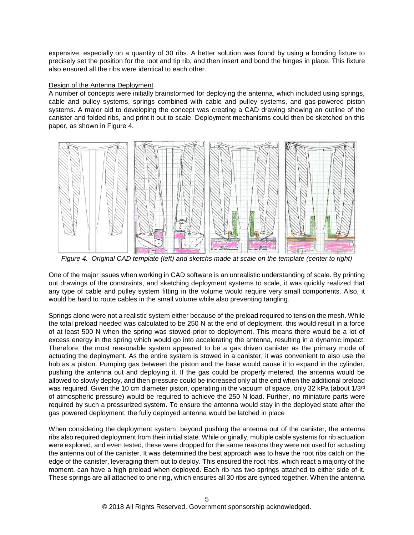expensive, especially on a quantity of 30 ribs. A better solution was found by using a bonding fixture to precisely set the position for the root and tip rib, and then insert and bond the hinges in place. This fixture also ensured all the ribs were identical to each other.

### Design of the Antenna Deployment

A number of concepts were initially brainstormed for deploying the antenna, which included using springs, cable and pulley systems, springs combined with cable and pulley systems, and gas-powered piston systems. A major aid to developing the concept was creating a CAD drawing showing an outline of the canister and folded ribs, and print it out to scale. Deployment mechanisms could then be sketched on this paper, as shown in Figure 4.



*Figure 4. Original CAD template (left) and sketchs made at scale on the template (center to right)*

One of the major issues when working in CAD software is an unrealistic understanding of scale. By printing out drawings of the constraints, and sketching deployment systems to scale, it was quickly realized that any type of cable and pulley system fitting in the volume would require very small components. Also, it would be hard to route cables in the small volume while also preventing tangling.

Springs alone were not a realistic system either because of the preload required to tension the mesh. While the total preload needed was calculated to be 250 N at the end of deployment, this would result in a force of at least 500 N when the spring was stowed prior to deployment. This means there would be a lot of excess energy in the spring which would go into accelerating the antenna, resulting in a dynamic impact. Therefore, the most reasonable system appeared to be a gas driven canister as the primary mode of actuating the deployment. As the entire system is stowed in a canister, it was convenient to also use the hub as a piston. Pumping gas between the piston and the base would cause it to expand in the cylinder, pushing the antenna out and deploying it. If the gas could be properly metered, the antenna would be allowed to slowly deploy, and then pressure could be increased only at the end when the additional preload was required. Given the 10 cm diameter piston, operating in the vacuum of space, only 32 kPa (about 1/3<sup>rd</sup>) of atmospheric pressure) would be required to achieve the 250 N load. Further, no miniature parts were required by such a pressurized system. To ensure the antenna would stay in the deployed state after the gas powered deployment, the fully deployed antenna would be latched in place

When considering the deployment system, beyond pushing the antenna out of the canister, the antenna ribs also required deployment from their initial state. While originally, multiple cable systems for rib actuation were explored, and even tested, these were dropped for the same reasons they were not used for actuating the antenna out of the canister. It was determined the best approach was to have the root ribs catch on the edge of the canister, leveraging them out to deploy. This ensured the root ribs, which react a majority of the moment, can have a high preload when deployed. Each rib has two springs attached to either side of it. These springs are all attached to one ring, which ensures all 30 ribs are synced together. When the antenna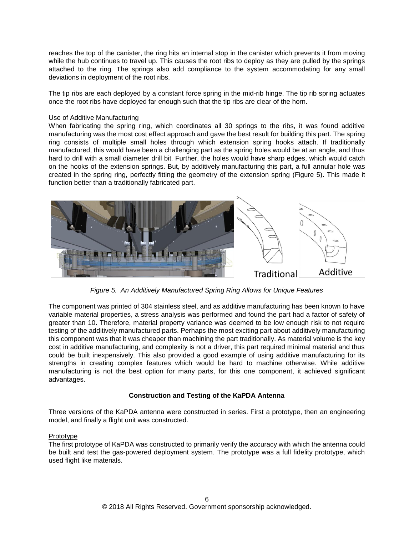reaches the top of the canister, the ring hits an internal stop in the canister which prevents it from moving while the hub continues to travel up. This causes the root ribs to deploy as they are pulled by the springs attached to the ring. The springs also add compliance to the system accommodating for any small deviations in deployment of the root ribs.

The tip ribs are each deployed by a constant force spring in the mid-rib hinge. The tip rib spring actuates once the root ribs have deployed far enough such that the tip ribs are clear of the horn.

### Use of Additive Manufacturing

When fabricating the spring ring, which coordinates all 30 springs to the ribs, it was found additive manufacturing was the most cost effect approach and gave the best result for building this part. The spring ring consists of multiple small holes through which extension spring hooks attach. If traditionally manufactured, this would have been a challenging part as the spring holes would be at an angle, and thus hard to drill with a small diameter drill bit. Further, the holes would have sharp edges, which would catch on the hooks of the extension springs. But, by additively manufacturing this part, a full annular hole was created in the spring ring, perfectly fitting the geometry of the extension spring (Figure 5). This made it function better than a traditionally fabricated part.



*Figure 5. An Additively Manufactured Spring Ring Allows for Unique Features*

The component was printed of 304 stainless steel, and as additive manufacturing has been known to have variable material properties, a stress analysis was performed and found the part had a factor of safety of greater than 10. Therefore, material property variance was deemed to be low enough risk to not require testing of the additively manufactured parts. Perhaps the most exciting part about additively manufacturing this component was that it was cheaper than machining the part traditionally. As material volume is the key cost in additive manufacturing, and complexity is not a driver, this part required minimal material and thus could be built inexpensively. This also provided a good example of using additive manufacturing for its strengths in creating complex features which would be hard to machine otherwise. While additive manufacturing is not the best option for many parts, for this one component, it achieved significant advantages.

### **Construction and Testing of the KaPDA Antenna**

Three versions of the KaPDA antenna were constructed in series. First a prototype, then an engineering model, and finally a flight unit was constructed.

### Prototype

The first prototype of KaPDA was constructed to primarily verify the accuracy with which the antenna could be built and test the gas-powered deployment system. The prototype was a full fidelity prototype, which used flight like materials.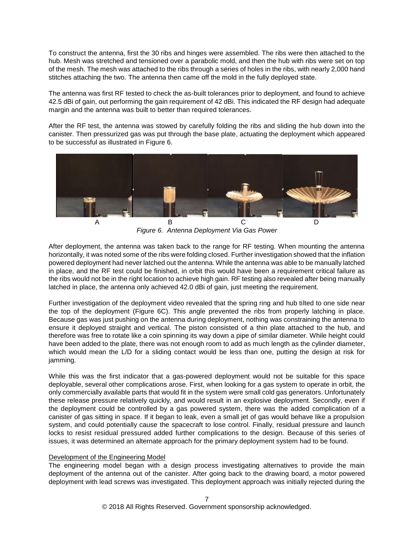To construct the antenna, first the 30 ribs and hinges were assembled. The ribs were then attached to the hub. Mesh was stretched and tensioned over a parabolic mold, and then the hub with ribs were set on top of the mesh. The mesh was attached to the ribs through a series of holes in the ribs, with nearly 2,000 hand stitches attaching the two. The antenna then came off the mold in the fully deployed state.

The antenna was first RF tested to check the as-built tolerances prior to deployment, and found to achieve 42.5 dBi of gain, out performing the gain requirement of 42 dBi. This indicated the RF design had adequate margin and the antenna was built to better than required tolerances.

After the RF test, the antenna was stowed by carefully folding the ribs and sliding the hub down into the canister. Then pressurized gas was put through the base plate, actuating the deployment which appeared to be successful as illustrated in Figure 6.



*Figure 6. Antenna Deployment Via Gas Power*

After deployment, the antenna was taken back to the range for RF testing. When mounting the antenna horizontally, it was noted some of the ribs were folding closed. Further investigation showed that the inflation powered deployment had never latched out the antenna. While the antenna was able to be manually latched in place, and the RF test could be finished, in orbit this would have been a requirement critical failure as the ribs would not be in the right location to achieve high gain. RF testing also revealed after being manually latched in place, the antenna only achieved 42.0 dBi of gain, just meeting the requirement.

Further investigation of the deployment video revealed that the spring ring and hub tilted to one side near the top of the deployment (Figure 6C). This angle prevented the ribs from properly latching in place. Because gas was just pushing on the antenna during deployment, nothing was constraining the antenna to ensure it deployed straight and vertical. The piston consisted of a thin plate attached to the hub, and therefore was free to rotate like a coin spinning its way down a pipe of similar diameter. While height could have been added to the plate, there was not enough room to add as much length as the cylinder diameter, which would mean the L/D for a sliding contact would be less than one, putting the design at risk for jamming.

While this was the first indicator that a gas-powered deployment would not be suitable for this space deployable, several other complications arose. First, when looking for a gas system to operate in orbit, the only commercially available parts that would fit in the system were small cold gas generators. Unfortunately these release pressure relatively quickly, and would result in an explosive deployment. Secondly, even if the deployment could be controlled by a gas powered system, there was the added complication of a canister of gas sitting in space. If it began to leak, even a small jet of gas would behave like a propulsion system, and could potentially cause the spacecraft to lose control. Finally, residual pressure and launch locks to resist residual pressured added further complications to the design. Because of this series of issues, it was determined an alternate approach for the primary deployment system had to be found.

# Development of the Engineering Model

The engineering model began with a design process investigating alternatives to provide the main deployment of the antenna out of the canister. After going back to the drawing board, a motor powered deployment with lead screws was investigated. This deployment approach was initially rejected during the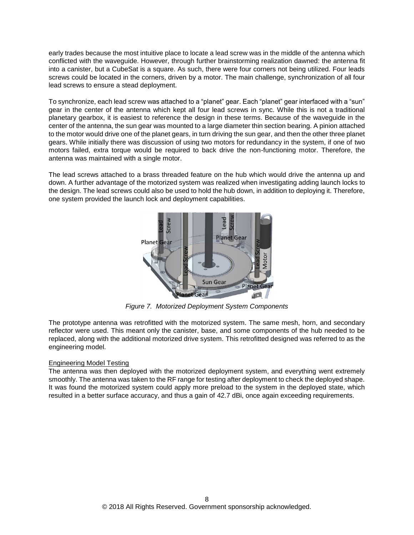early trades because the most intuitive place to locate a lead screw was in the middle of the antenna which conflicted with the waveguide. However, through further brainstorming realization dawned: the antenna fit into a canister, but a CubeSat is a square. As such, there were four corners not being utilized. Four leads screws could be located in the corners, driven by a motor. The main challenge, synchronization of all four lead screws to ensure a stead deployment.

To synchronize, each lead screw was attached to a "planet" gear. Each "planet" gear interfaced with a "sun" gear in the center of the antenna which kept all four lead screws in sync. While this is not a traditional planetary gearbox, it is easiest to reference the design in these terms. Because of the waveguide in the center of the antenna, the sun gear was mounted to a large diameter thin section bearing. A pinion attached to the motor would drive one of the planet gears, in turn driving the sun gear, and then the other three planet gears. While initially there was discussion of using two motors for redundancy in the system, if one of two motors failed, extra torque would be required to back drive the non-functioning motor. Therefore, the antenna was maintained with a single motor.

The lead screws attached to a brass threaded feature on the hub which would drive the antenna up and down. A further advantage of the motorized system was realized when investigating adding launch locks to the design. The lead screws could also be used to hold the hub down, in addition to deploying it. Therefore, one system provided the launch lock and deployment capabilities.



*Figure 7. Motorized Deployment System Components*

The prototype antenna was retrofitted with the motorized system. The same mesh, horn, and secondary reflector were used. This meant only the canister, base, and some components of the hub needed to be replaced, along with the additional motorized drive system. This retrofitted designed was referred to as the engineering model.

# Engineering Model Testing

The antenna was then deployed with the motorized deployment system, and everything went extremely smoothly. The antenna was taken to the RF range for testing after deployment to check the deployed shape. It was found the motorized system could apply more preload to the system in the deployed state, which resulted in a better surface accuracy, and thus a gain of 42.7 dBi, once again exceeding requirements.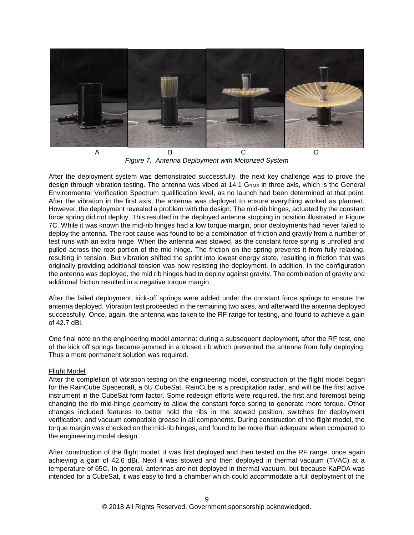

*Figure 7. Antenna Deployment with Motorized System*

After the deployment system was demonstrated successfully, the next key challenge was to prove the design through vibration testing. The antenna was vibed at 14.1 G<sub>RMS</sub> in three axis, which is the General Environmental Verification Spectrum qualification level, as no launch had been determined at that point. After the vibration in the first axis, the antenna was deployed to ensure everything worked as planned. However, the deployment revealed a problem with the design. The mid-rib hinges, actuated by the constant force spring did not deploy. This resulted in the deployed antenna stopping in position illustrated in Figure 7C. While it was known the mid-rib hinges had a low torque margin, prior deployments had never failed to deploy the antenna. The root cause was found to be a combination of friction and gravity from a number of test runs with an extra hinge. When the antenna was stowed, as the constant force spring is unrolled and pulled across the root portion of the mid-hinge. The friction on the spring prevents it from fully relaxing, resulting in tension. But vibration shifted the sprint into lowest energy state, resulting in friction that was originally providing additional tension was now resisting the deployment. In addition, in the configuration the antenna was deployed, the mid rib hinges had to deploy against gravity. The combination of gravity and additional friction resulted in a negative torque margin.

After the failed deployment, kick-off springs were added under the constant force springs to ensure the antenna deployed. Vibration test proceeded in the remaining two axes, and afterward the antenna deployed successfully. Once, again, the antenna was taken to the RF range for testing, and found to achieve a gain of 42.7 dBi.

One final note on the engineering model antenna: during a subsequent deployment, after the RF test, one of the kick off springs became jammed in a closed rib which prevented the antenna from fully deploying. Thus a more permanent solution was required.

### Flight Model

After the completion of vibration testing on the engineering model, construction of the flight model began for the RainCube Spacecraft, a 6U CubeSat. RainCube is a precipitation radar, and will be the first active instrument in the CubeSat form factor. Some redesign efforts were required, the first and foremost being changing the rib mid-hinge geometry to allow the constant force spring to generate more torque. Other changes included features to better hold the ribs in the stowed position, switches for deployment verification, and vacuum compatible grease in all components. During construction of the flight model, the torque margin was checked on the mid-rib hinges, and found to be more than adequate when compared to the engineering model design.

After construction of the flight model, it was first deployed and then tested on the RF range, once again achieving a gain of 42.6 dBi. Next it was stowed and then deployed in thermal vacuum (TVAC) at a temperature of 65C. In general, antennas are not deployed in thermal vacuum, but because KaPDA was intended for a CubeSat, it was easy to find a chamber which could accommodate a full deployment of the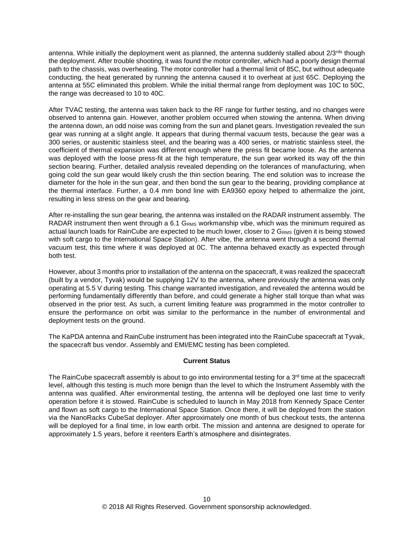antenna. While initially the deployment went as planned, the antenna suddenly stalled about 2/3<sup>rds</sup> though the deployment. After trouble shooting, it was found the motor controller, which had a poorly design thermal path to the chassis, was overheating. The motor controller had a thermal limit of 85C, but without adequate conducting, the heat generated by running the antenna caused it to overheat at just 65C. Deploying the antenna at 55C eliminated this problem. While the initial thermal range from deployment was 10C to 50C, the range was decreased to 10 to 40C.

After TVAC testing, the antenna was taken back to the RF range for further testing, and no changes were observed to antenna gain. However, another problem occurred when stowing the antenna. When driving the antenna down, an odd noise was coming from the sun and planet gears. Investigation revealed the sun gear was running at a slight angle. It appears that during thermal vacuum tests, because the gear was a 300 series, or austenitic stainless steel, and the bearing was a 400 series, or matristic stainless steel, the coefficient of thermal expansion was different enough where the press fit became loose. As the antenna was deployed with the loose press-fit at the high temperature, the sun gear worked its way off the thin section bearing. Further, detailed analysis revealed depending on the tolerances of manufacturing, when going cold the sun gear would likely crush the thin section bearing. The end solution was to increase the diameter for the hole in the sun gear, and then bond the sun gear to the bearing, providing compliance at the thermal interface. Further, a 0.4 mm bond line with EA9360 epoxy helped to athermalize the joint, resulting in less stress on the gear and bearing.

After re-installing the sun gear bearing, the antenna was installed on the RADAR instrument assembly. The RADAR instrument then went through a 6.1 GRMS workmanship vibe, which was the minimum required as actual launch loads for RainCube are expected to be much lower, closer to 2 G<sub>RMS</sub> (given it is being stowed with soft cargo to the International Space Station). After vibe, the antenna went through a second thermal vacuum test, this time where it was deployed at 0C. The antenna behaved exactly as expected through both test.

However, about 3 months prior to installation of the antenna on the spacecraft, it was realized the spacecraft (built by a vendor, Tyvak) would be supplying 12V to the antenna, where previously the antenna was only operating at 5.5 V during testing. This change warranted investigation, and revealed the antenna would be performing fundamentally differently than before, and could generate a higher stall torque than what was observed in the prior test. As such, a current limiting feature was programmed in the motor controller to ensure the performance on orbit was similar to the performance in the number of environmental and deployment tests on the ground.

The KaPDA antenna and RainCube instrument has been integrated into the RainCube spacecraft at Tyvak, the spacecraft bus vendor. Assembly and EMI/EMC testing has been completed.

# **Current Status**

The RainCube spacecraft assembly is about to go into environmental testing for a  $3<sup>rd</sup>$  time at the spacecraft level, although this testing is much more benign than the level to which the Instrument Assembly with the antenna was qualified. After environmental testing, the antenna will be deployed one last time to verify operation before it is stowed. RainCube is scheduled to launch in May 2018 from Kennedy Space Center and flown as soft cargo to the International Space Station. Once there, it will be deployed from the station via the NanoRacks CubeSat deployer. After approximately one month of bus checkout tests, the antenna will be deployed for a final time, in low earth orbit. The mission and antenna are designed to operate for approximately 1.5 years, before it reenters Earth's atmosphere and disintegrates.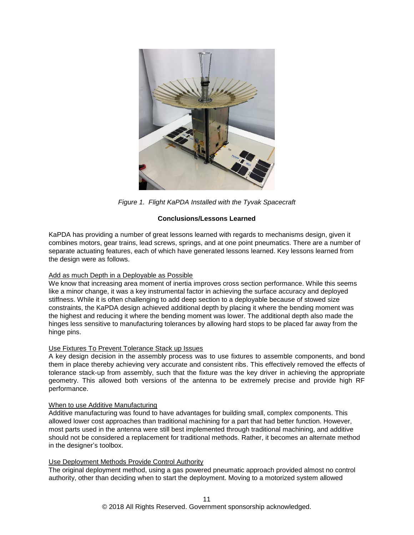

*Figure 1. Flight KaPDA Installed with the Tyvak Spacecraft*

# **Conclusions/Lessons Learned**

KaPDA has providing a number of great lessons learned with regards to mechanisms design, given it combines motors, gear trains, lead screws, springs, and at one point pneumatics. There are a number of separate actuating features, each of which have generated lessons learned. Key lessons learned from the design were as follows.

# Add as much Depth in a Deployable as Possible

We know that increasing area moment of inertia improves cross section performance. While this seems like a minor change, it was a key instrumental factor in achieving the surface accuracy and deployed stiffness. While it is often challenging to add deep section to a deployable because of stowed size constraints, the KaPDA design achieved additional depth by placing it where the bending moment was the highest and reducing it where the bending moment was lower. The additional depth also made the hinges less sensitive to manufacturing tolerances by allowing hard stops to be placed far away from the hinge pins.

### Use Fixtures To Prevent Tolerance Stack up Issues

A key design decision in the assembly process was to use fixtures to assemble components, and bond them in place thereby achieving very accurate and consistent ribs. This effectively removed the effects of tolerance stack-up from assembly, such that the fixture was the key driver in achieving the appropriate geometry. This allowed both versions of the antenna to be extremely precise and provide high RF performance.

### When to use Additive Manufacturing

Additive manufacturing was found to have advantages for building small, complex components. This allowed lower cost approaches than traditional machining for a part that had better function. However, most parts used in the antenna were still best implemented through traditional machining, and additive should not be considered a replacement for traditional methods. Rather, it becomes an alternate method in the designer's toolbox.

### Use Deployment Methods Provide Control Authority

The original deployment method, using a gas powered pneumatic approach provided almost no control authority, other than deciding when to start the deployment. Moving to a motorized system allowed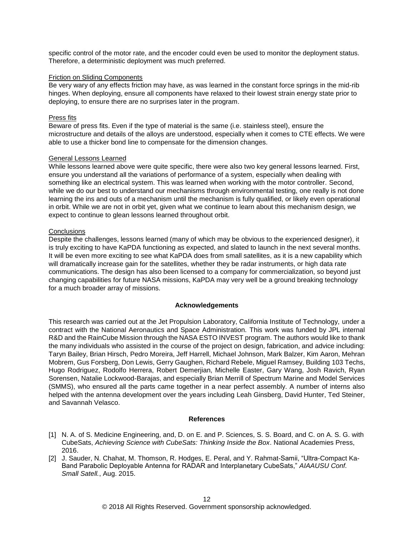specific control of the motor rate, and the encoder could even be used to monitor the deployment status. Therefore, a deterministic deployment was much preferred.

#### Friction on Sliding Components

Be very wary of any effects friction may have, as was learned in the constant force springs in the mid-rib hinges. When deploying, ensure all components have relaxed to their lowest strain energy state prior to deploying, to ensure there are no surprises later in the program.

#### Press fits

Beware of press fits. Even if the type of material is the same (i.e. stainless steel), ensure the microstructure and details of the alloys are understood, especially when it comes to CTE effects. We were able to use a thicker bond line to compensate for the dimension changes.

#### General Lessons Learned

While lessons learned above were quite specific, there were also two key general lessons learned. First, ensure you understand all the variations of performance of a system, especially when dealing with something like an electrical system. This was learned when working with the motor controller. Second, while we do our best to understand our mechanisms through environmental testing, one really is not done learning the ins and outs of a mechanism until the mechanism is fully qualified, or likely even operational in orbit. While we are not in orbit yet, given what we continue to learn about this mechanism design, we expect to continue to glean lessons learned throughout orbit.

#### **Conclusions**

Despite the challenges, lessons learned (many of which may be obvious to the experienced designer), it is truly exciting to have KaPDA functioning as expected, and slated to launch in the next several months. It will be even more exciting to see what KaPDA does from small satellites, as it is a new capability which will dramatically increase gain for the satellites, whether they be radar instruments, or high data rate communications. The design has also been licensed to a company for commercialization, so beyond just changing capabilities for future NASA missions, KaPDA may very well be a ground breaking technology for a much broader array of missions.

#### **Acknowledgements**

This research was carried out at the Jet Propulsion Laboratory, California Institute of Technology, under a contract with the National Aeronautics and Space Administration. This work was funded by JPL internal R&D and the RainCube Mission through the NASA ESTO INVEST program. The authors would like to thank the many individuals who assisted in the course of the project on design, fabrication, and advice including: Taryn Bailey, Brian Hirsch, Pedro Moreira, Jeff Harrell, Michael Johnson, Mark Balzer, Kim Aaron, Mehran Mobrem, Gus Forsberg, Don Lewis, Gerry Gaughen, Richard Rebele, Miguel Ramsey, Building 103 Techs, Hugo Rodriguez, Rodolfo Herrera, Robert Demerjian, Michelle Easter, Gary Wang, Josh Ravich, Ryan Sorensen, Natalie Lockwood-Barajas, and especially Brian Merrill of Spectrum Marine and Model Services (SMMS), who ensured all the parts came together in a near perfect assembly. A number of interns also helped with the antenna development over the years including Leah Ginsberg, David Hunter, Ted Steiner, and Savannah Velasco.

#### **References**

- [1] N. A. of S. Medicine Engineering, and, D. on E. and P. Sciences, S. S. Board, and C. on A. S. G. with CubeSats, *Achieving Science with CubeSats: Thinking Inside the Box*. National Academies Press, 2016.
- [2] J. Sauder, N. Chahat, M. Thomson, R. Hodges, E. Peral, and Y. Rahmat-Samii, "Ultra-Compact Ka-Band Parabolic Deployable Antenna for RADAR and Interplanetary CubeSats," *AIAAUSU Conf. Small Satell.*, Aug. 2015.